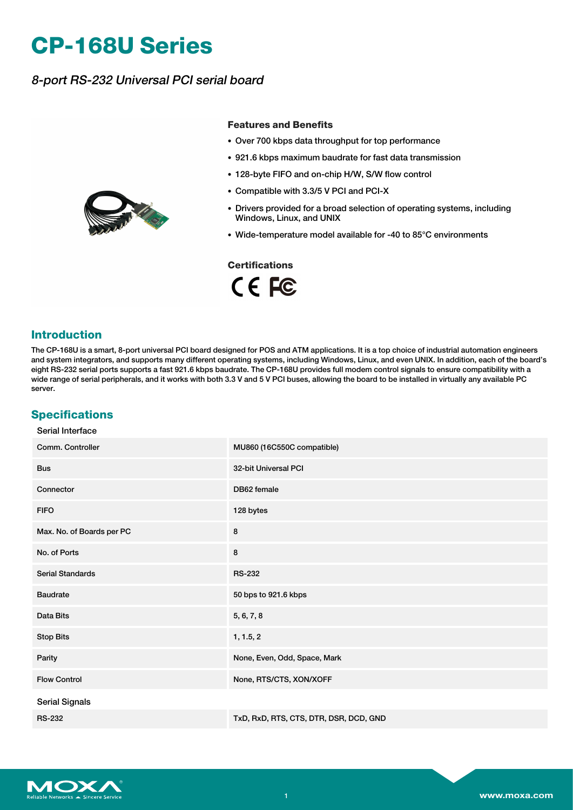# **CP-168U Series**

## 8-port RS-232 Universal PCI serial board



#### **Features and Benefits**

- Over 700 kbps data throughput for top performance
- 921.6 kbps maximum baudrate for fast data transmission
- 128-byte FIFO and on-chip H/W, S/W flow control
- Compatible with 3.3/5 V PCI and PCI-X
- Drivers provided for a broad selection of operating systems, including Windows, Linux, and UNIX
- Wide-temperature model available for -40 to 85°C environments

### **Certifications**

CE FC

#### **Introduction**

The CP-168U is a smart, 8-port universal PCI board designed for POS and ATM applications. It is a top choice of industrial automation engineers and system integrators, and supports many different operating systems, including Windows, Linux, and even UNIX. In addition, each of the board's eight RS-232 serial ports supports a fast 921.6 kbps baudrate. The CP-168U provides full modem control signals to ensure compatibility with a wide range of serial peripherals, and it works with both 3.3 V and 5 V PCI buses, allowing the board to be installed in virtually any available PC server.

### **Specifications**

| Comm. Controller          | MU860 (16C550C compatible)             |
|---------------------------|----------------------------------------|
| <b>Bus</b>                | 32-bit Universal PCI                   |
| Connector                 | DB62 female                            |
| <b>FIFO</b>               | 128 bytes                              |
| Max. No. of Boards per PC | 8                                      |
| No. of Ports              | 8                                      |
| <b>Serial Standards</b>   | <b>RS-232</b>                          |
| <b>Baudrate</b>           | 50 bps to 921.6 kbps                   |
| Data Bits                 | 5, 6, 7, 8                             |
| <b>Stop Bits</b>          | 1, 1.5, 2                              |
| Parity                    | None, Even, Odd, Space, Mark           |
| <b>Flow Control</b>       | None, RTS/CTS, XON/XOFF                |
| <b>Serial Signals</b>     |                                        |
| <b>RS-232</b>             | TxD, RxD, RTS, CTS, DTR, DSR, DCD, GND |

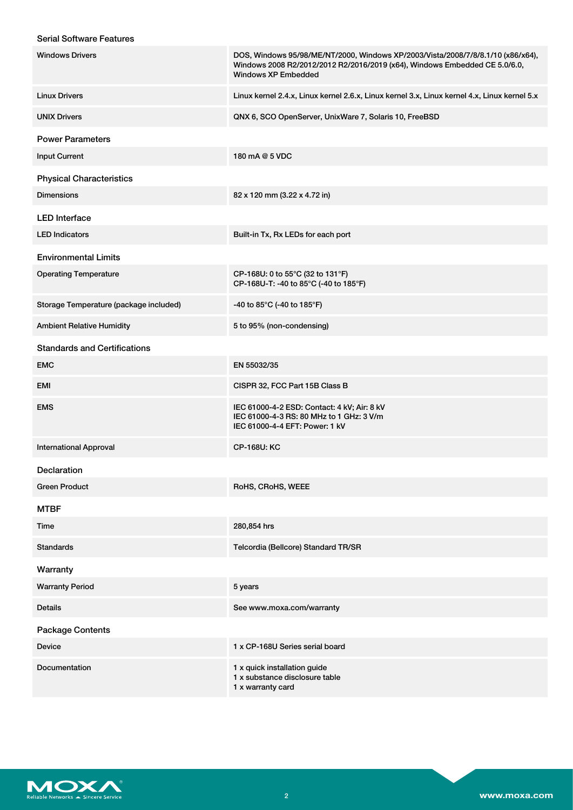#### Serial Software Features

| <b>Windows Drivers</b>                 | DOS, Windows 95/98/ME/NT/2000, Windows XP/2003/Vista/2008/7/8/8.1/10 (x86/x64),<br>Windows 2008 R2/2012/2012 R2/2016/2019 (x64), Windows Embedded CE 5.0/6.0,<br><b>Windows XP Embedded</b> |
|----------------------------------------|---------------------------------------------------------------------------------------------------------------------------------------------------------------------------------------------|
| <b>Linux Drivers</b>                   | Linux kernel 2.4.x, Linux kernel 2.6.x, Linux kernel 3.x, Linux kernel 4.x, Linux kernel 5.x                                                                                                |
| <b>UNIX Drivers</b>                    | QNX 6, SCO OpenServer, UnixWare 7, Solaris 10, FreeBSD                                                                                                                                      |
| <b>Power Parameters</b>                |                                                                                                                                                                                             |
| <b>Input Current</b>                   | 180 mA @ 5 VDC                                                                                                                                                                              |
| <b>Physical Characteristics</b>        |                                                                                                                                                                                             |
| <b>Dimensions</b>                      | 82 x 120 mm (3.22 x 4.72 in)                                                                                                                                                                |
| <b>LED</b> Interface                   |                                                                                                                                                                                             |
| <b>LED Indicators</b>                  | Built-in Tx, Rx LEDs for each port                                                                                                                                                          |
| <b>Environmental Limits</b>            |                                                                                                                                                                                             |
| <b>Operating Temperature</b>           | CP-168U: 0 to 55°C (32 to 131°F)<br>CP-168U-T: -40 to 85°C (-40 to 185°F)                                                                                                                   |
| Storage Temperature (package included) | -40 to 85°C (-40 to 185°F)                                                                                                                                                                  |
| <b>Ambient Relative Humidity</b>       | 5 to 95% (non-condensing)                                                                                                                                                                   |
| <b>Standards and Certifications</b>    |                                                                                                                                                                                             |
| <b>EMC</b>                             | EN 55032/35                                                                                                                                                                                 |
| EMI                                    | CISPR 32, FCC Part 15B Class B                                                                                                                                                              |
| <b>EMS</b>                             | IEC 61000-4-2 ESD: Contact: 4 kV; Air: 8 kV<br>IEC 61000-4-3 RS: 80 MHz to 1 GHz: 3 V/m<br>IEC 61000-4-4 EFT: Power: 1 kV                                                                   |
| <b>International Approval</b>          | <b>CP-168U: KC</b>                                                                                                                                                                          |
| <b>Declaration</b>                     |                                                                                                                                                                                             |
| <b>Green Product</b>                   | RoHS, CRoHS, WEEE                                                                                                                                                                           |
| <b>MTBF</b>                            |                                                                                                                                                                                             |
| Time                                   | 280,854 hrs                                                                                                                                                                                 |
| <b>Standards</b>                       | Telcordia (Bellcore) Standard TR/SR                                                                                                                                                         |
| Warranty                               |                                                                                                                                                                                             |
| <b>Warranty Period</b>                 | 5 years                                                                                                                                                                                     |
| <b>Details</b>                         | See www.moxa.com/warranty                                                                                                                                                                   |
| <b>Package Contents</b>                |                                                                                                                                                                                             |
| Device                                 | 1 x CP-168U Series serial board                                                                                                                                                             |
| Documentation                          | 1 x quick installation guide<br>1 x substance disclosure table<br>1 x warranty card                                                                                                         |